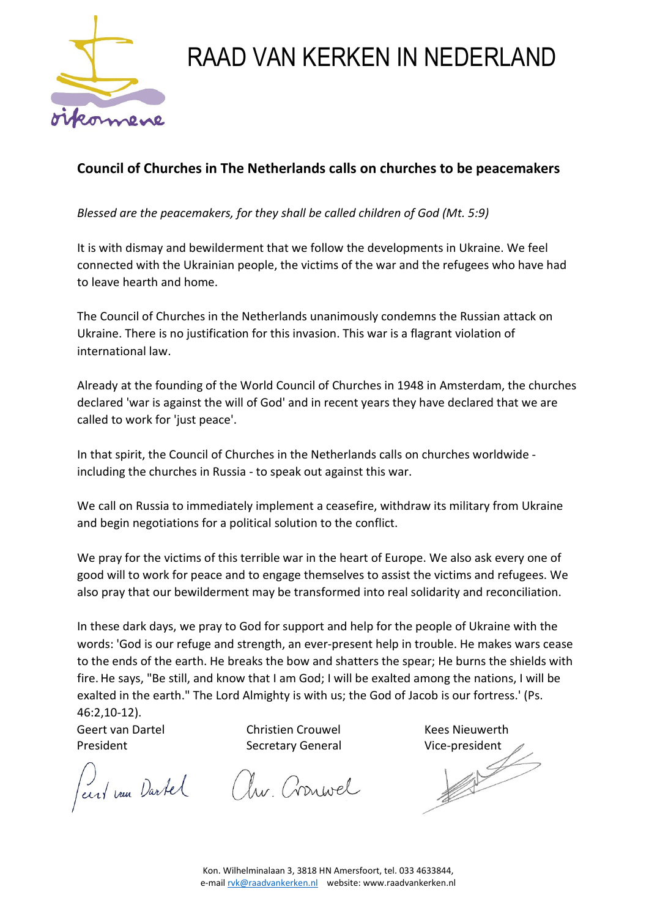

## RAAD VAN KERKEN IN NEDERLAND

## **Council of Churches in The Netherlands calls on churches to be peacemakers**

*Blessed are the peacemakers, for they shall be called children of God (Mt. 5:9)* 

It is with dismay and bewilderment that we follow the developments in Ukraine. We feel connected with the Ukrainian people, the victims of the war and the refugees who have had to leave hearth and home.

The Council of Churches in the Netherlands unanimously condemns the Russian attack on Ukraine. There is no justification for this invasion. This war is a flagrant violation of international law.

Already at the founding of the World Council of Churches in 1948 in Amsterdam, the churches declared 'war is against the will of God' and in recent years they have declared that we are called to work for 'just peace'.

In that spirit, the Council of Churches in the Netherlands calls on churches worldwide including the churches in Russia - to speak out against this war.

We call on Russia to immediately implement a ceasefire, withdraw its military from Ukraine and begin negotiations for a political solution to the conflict.

We pray for the victims of this terrible war in the heart of Europe. We also ask every one of good will to work for peace and to engage themselves to assist the victims and refugees. We also pray that our bewilderment may be transformed into real solidarity and reconciliation.

In these dark days, we pray to God for support and help for the people of Ukraine with the words: 'God is our refuge and strength, an ever-present help in trouble. He makes wars cease to the ends of the earth. He breaks the bow and shatters the spear; He burns the shields with fire.He says, "Be still, and know that I am God; I will be exalted among the nations, I will be exalted in the earth." The Lord Almighty is with us; the God of Jacob is our fortress.' (Ps. 46:2,10-12).

Geert van Dartel Christien Crouwel Kees Nieuwerth

Perri vous Dartel Au. Cronwel

President Secretary General Vice-president  $\bigcap_{i=1}^{\infty}$   $\bigcap_{i=1}^{\infty}$   $\bigcap_{i=1}^{\infty}$   $\bigcap_{i=1}^{\infty}$   $\bigcap_{i=1}^{\infty}$   $\bigcap_{i=1}^{\infty}$   $\bigcap_{i=1}^{\infty}$   $\bigcap_{i=1}^{\infty}$   $\bigcap_{i=1}^{\infty}$   $\bigcap_{i=1}^{\infty}$   $\bigcap_{i=1}^{\infty}$   $\$